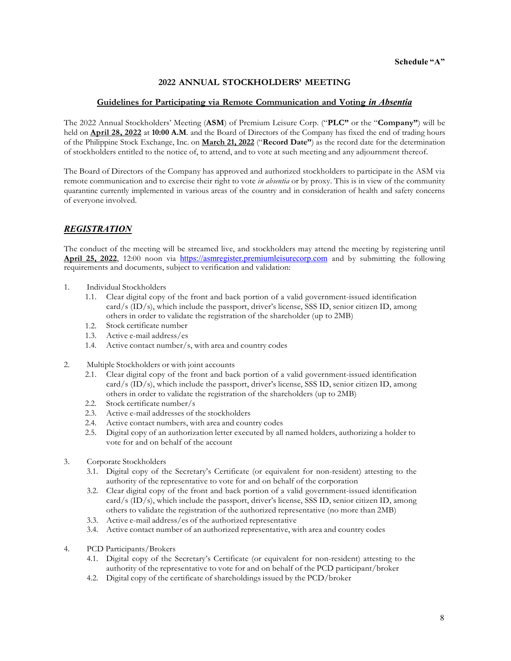#### **2022 ANNUAL STOCKHOLDERS' MEETING**

#### **Guidelines for Participating via Remote Communication and Voting** *in Absentia*

The 2022 Annual Stockholders' Meeting (**ASM**) of Premium Leisure Corp. ("**PLC"** or the "**Company"**) will be held on **April 28, 2022** at **10:00 A.M**. and the Board of Directors of the Company has fixed the end of trading hours of the Philippine Stock Exchange, Inc. on **March 21, 2022** ("**Record Date"**) as the record date for the determination of stockholders entitled to the notice of, to attend, and to vote at such meeting and any adjournment thereof.

The Board of Directors of the Company has approved and authorized stockholders to participate in the ASM via remote communication and to exercise their right to vote *in absentia* or by proxy. This is in view of the community quarantine currently implemented in various areas of the country and in consideration of health and safety concerns of everyone involved.

# *REGISTRATION*

The conduct of the meeting will be streamed live, and stockholders may attend the meeting by registering until **April 25, 2022**, 12:00 noon via https://asmregister.premiumleisurecorp.com and by submitting the following requirements and documents, subject to verification and validation:

- 1. Individual Stockholders
	- 1.1. Clear digital copy of the front and back portion of a valid government-issued identification card/s (ID/s), which include the passport, driver's license, SSS ID, senior citizen ID, among others in order to validate the registration of the shareholder (up to 2MB)
	- 1.2. Stock certificate number
	- 1.3. Active e-mail address/es
	- 1.4. Active contact number/s, with area and country codes
- 2. Multiple Stockholders or with joint accounts
	- 2.1. Clear digital copy of the front and back portion of a valid government-issued identification card/s (ID/s), which include the passport, driver's license, SSS ID, senior citizen ID, among others in order to validate the registration of the shareholders (up to 2MB)
	- 2.2. Stock certificate number/s
	- 2.3. Active e-mail addresses of the stockholders
	- 2.4. Active contact numbers, with area and country codes
	- 2.5. Digital copy of an authorization letter executed by all named holders, authorizing a holder to vote for and on behalf of the account
- 3. Corporate Stockholders
	- 3.1. Digital copy of the Secretary's Certificate (or equivalent for non-resident) attesting to the authority of the representative to vote for and on behalf of the corporation
	- 3.2. Clear digital copy of the front and back portion of a valid government-issued identification card/s (ID/s), which include the passport, driver's license, SSS ID, senior citizen ID, among others to validate the registration of the authorized representative (no more than 2MB)
	- 3.3. Active e-mail address/es of the authorized representative
	- 3.4. Active contact number of an authorized representative, with area and country codes
- 4. PCD Participants/Brokers
	- 4.1. Digital copy of the Secretary's Certificate (or equivalent for non-resident) attesting to the authority of the representative to vote for and on behalf of the PCD participant/broker
	- 4.2. Digital copy of the certificate of shareholdings issued by the PCD/broker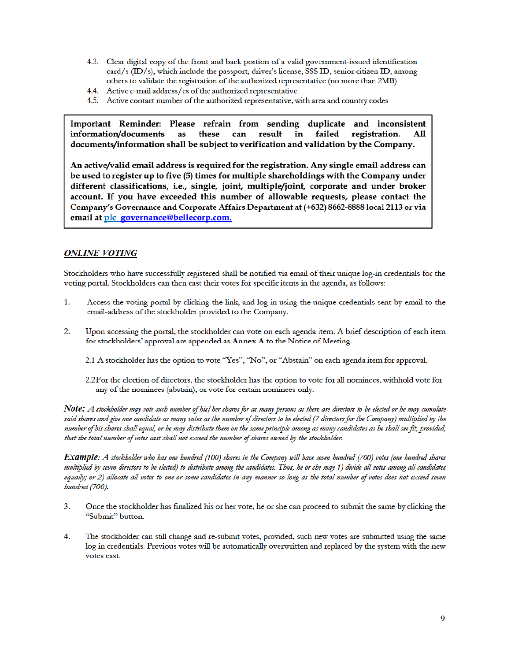- 4.3. Clear digital copy of the front and back portion of a valid government-issued identification card/s (ID/s), which include the passport, driver's license, SSS ID, senior citizen ID, among others to validate the registration of the authorized representative (no more than 2MB)
- 4.4. Active e-mail address/es of the authorized representative
- 4.5. Active contact number of the authorized representative, with area and country codes

Important Reminder: Please refrain from sending duplicate and inconsistent information/documents as these can result in failed registration. All documents/information shall be subject to verification and validation by the Company.

An active/valid email address is required for the registration. Any single email address can be used to register up to five (5) times for multiple shareholdings with the Company under different classifications, i.e., single, joint, multiple/joint, corporate and under broker account. If you have exceeded this number of allowable requests, please contact the Company's Governance and Corporate Affairs Department at (+632) 8662-8888 local 2113 or via email at plc\_governance@bellecorp.com.

#### **ONLINE VOTING**

Stockholders who have successfully registered shall be notified via email of their unique log-in credentials for the voting portal. Stockholders can then cast their votes for specific items in the agenda, as follows:

- 1. Access the voting portal by clicking the link, and log in using the unique credentials sent by email to the email-address of the stockholder provided to the Company.
- $2.$ Upon accessing the portal, the stockholder can vote on each agenda item. A brief description of each item for stockholders' approval are appended as Annex A to the Notice of Meeting.
	- 2.1 A stockholder has the option to vote "Yes", "No", or "Abstain" on each agenda item for approval.
	- 2.2 For the election of directors, the stockholder has the option to vote for all nominees, withhold vote for any of the nominees (abstain), or vote for certain nominees only.

Note: A stockholder may vote such number of his/her shares for as many persons as there are directors to be elected or he may cumulate said shares and give one candidate as many votes as the number of directors to be elected (7 directors for the Company) multiplied by the number of his shares shall equal, or he may distribute them on the same principle among as many candidates as he shall see fit, provided, that the total number of votes cast shall not exceed the number of shares owned by the stockholder.

**Example**: A stockholder who has one hundred (100) shares in the Company will have seven hundred (700) votes (one hundred shares multiplied by seven directors to be elected) to distribute among the candidates. Thus, he or she may 1) divide all votes among all candidates equally; or 2) allocate all votes to one or some candidates in any manner so long as the total number of votes does not exceed seven bundred (700).

- $3.$ Once the stockholder has finalized his or her vote, he or she can proceed to submit the same by clicking the "Submit" button.
- 4. The stockholder can still change and re-submit votes, provided, such new votes are submitted using the same log-in credentials. Previous votes will be automatically overwritten and replaced by the system with the new votes cast.